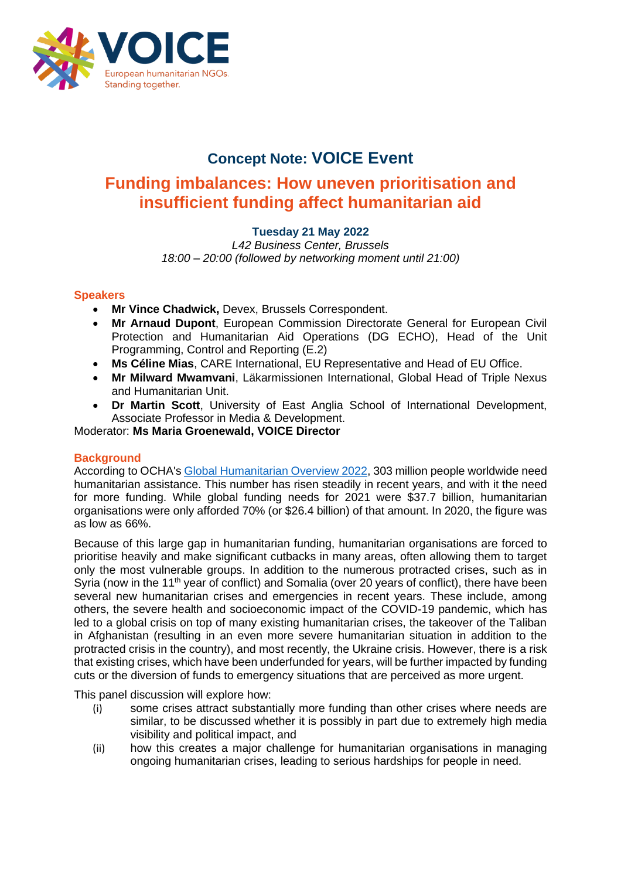

## **Concept Note: VOICE Event**

# **Funding imbalances: How uneven prioritisation and insufficient funding affect humanitarian aid**

## **Tuesday 21 May 2022**

*L42 Business Center, Brussels 18:00 – 20:00 (followed by networking moment until 21:00)*

## **Speakers**

- **Mr Vince Chadwick,** Devex, Brussels Correspondent.
- **Mr Arnaud Dupont**, European Commission Directorate General for European Civil Protection and Humanitarian Aid Operations (DG ECHO), Head of the Unit Programming, Control and Reporting (E.2)
- **Ms Céline Mias**, CARE International, EU Representative and Head of EU Office.
- **Mr Milward Mwamvani**, Läkarmissionen International, Global Head of Triple Nexus and Humanitarian Unit.
- **Dr Martin Scott**, University of East Anglia School of International Development, Associate Professor in Media & Development.

Moderator: **Ms Maria Groenewald, VOICE Director**

## **Background**

According to OCHA's [Global Humanitarian Overview 2022,](https://reliefweb.int/attachments/426fe40c-2293-3544-bb93-091629ea03e3/GHO_Monthly_Update_30April2022.pdf) 303 million people worldwide need humanitarian assistance. This number has risen steadily in recent years, and with it the need for more funding. While global funding needs for 2021 were \$37.7 billion, humanitarian organisations were only afforded 70% (or \$26.4 billion) of that amount. In 2020, the figure was as low as 66%.

Because of this large gap in humanitarian funding, humanitarian organisations are forced to prioritise heavily and make significant cutbacks in many areas, often allowing them to target only the most vulnerable groups. In addition to the numerous protracted crises, such as in Syria (now in the 11<sup>th</sup> year of conflict) and Somalia (over 20 years of conflict), there have been several new humanitarian crises and emergencies in recent years. These include, among others, the severe health and socioeconomic impact of the COVID-19 pandemic, which has led to a global crisis on top of many existing humanitarian crises, the takeover of the Taliban in Afghanistan (resulting in an even more severe humanitarian situation in addition to the protracted crisis in the country), and most recently, the Ukraine crisis. However, there is a risk that existing crises, which have been underfunded for years, will be further impacted by funding cuts or the diversion of funds to emergency situations that are perceived as more urgent.

This panel discussion will explore how:

- (i) some crises attract substantially more funding than other crises where needs are similar, to be discussed whether it is possibly in part due to extremely high media visibility and political impact, and
- (ii) how this creates a major challenge for humanitarian organisations in managing ongoing humanitarian crises, leading to serious hardships for people in need.